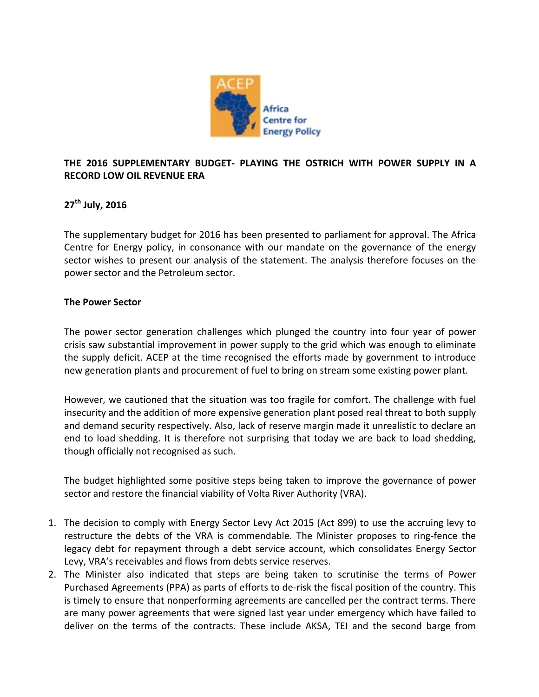

# THE 2016 SUPPLEMENTARY BUDGET- PLAYING THE OSTRICH WITH POWER SUPPLY IN A **RECORD LOW OIL REVENUE ERA**

# **27th July, 2016**

The supplementary budget for 2016 has been presented to parliament for approval. The Africa Centre for Energy policy, in consonance with our mandate on the governance of the energy sector wishes to present our analysis of the statement. The analysis therefore focuses on the power sector and the Petroleum sector.

## **The Power Sector**

The power sector generation challenges which plunged the country into four year of power crisis saw substantial improvement in power supply to the grid which was enough to eliminate the supply deficit. ACEP at the time recognised the efforts made by government to introduce new generation plants and procurement of fuel to bring on stream some existing power plant.

However, we cautioned that the situation was too fragile for comfort. The challenge with fuel insecurity and the addition of more expensive generation plant posed real threat to both supply and demand security respectively. Also, lack of reserve margin made it unrealistic to declare an end to load shedding. It is therefore not surprising that today we are back to load shedding, though officially not recognised as such.

The budget highlighted some positive steps being taken to improve the governance of power sector and restore the financial viability of Volta River Authority (VRA).

- 1. The decision to comply with Energy Sector Levy Act 2015 (Act 899) to use the accruing levy to restructure the debts of the VRA is commendable. The Minister proposes to ring-fence the legacy debt for repayment through a debt service account, which consolidates Energy Sector Levy, VRA's receivables and flows from debts service reserves.
- 2. The Minister also indicated that steps are being taken to scrutinise the terms of Power Purchased Agreements (PPA) as parts of efforts to de-risk the fiscal position of the country. This is timely to ensure that nonperforming agreements are cancelled per the contract terms. There are many power agreements that were signed last year under emergency which have failed to deliver on the terms of the contracts. These include AKSA, TEI and the second barge from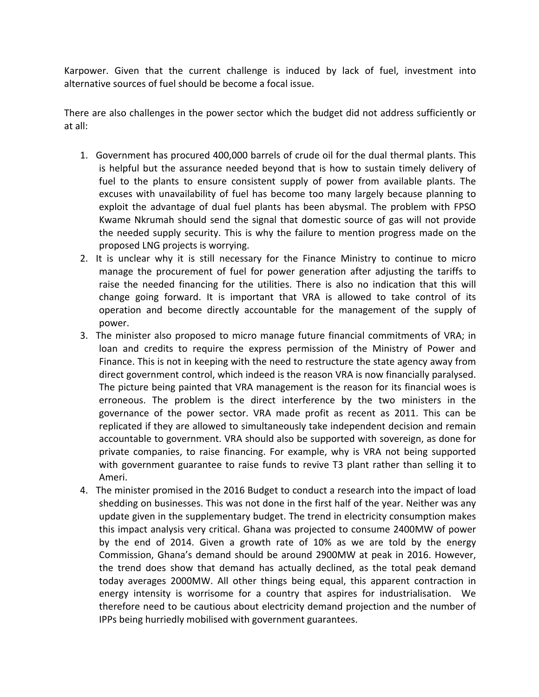Karpower. Given that the current challenge is induced by lack of fuel, investment into alternative sources of fuel should be become a focal issue.

There are also challenges in the power sector which the budget did not address sufficiently or at all:

- 1. Government has procured 400,000 barrels of crude oil for the dual thermal plants. This is helpful but the assurance needed beyond that is how to sustain timely delivery of fuel to the plants to ensure consistent supply of power from available plants. The excuses with unavailability of fuel has become too many largely because planning to exploit the advantage of dual fuel plants has been abysmal. The problem with FPSO Kwame Nkrumah should send the signal that domestic source of gas will not provide the needed supply security. This is why the failure to mention progress made on the proposed LNG projects is worrying.
- 2. It is unclear why it is still necessary for the Finance Ministry to continue to micro manage the procurement of fuel for power generation after adjusting the tariffs to raise the needed financing for the utilities. There is also no indication that this will change going forward. It is important that VRA is allowed to take control of its operation and become directly accountable for the management of the supply of power.
- 3. The minister also proposed to micro manage future financial commitments of VRA; in loan and credits to require the express permission of the Ministry of Power and Finance. This is not in keeping with the need to restructure the state agency away from direct government control, which indeed is the reason VRA is now financially paralysed. The picture being painted that VRA management is the reason for its financial woes is erroneous. The problem is the direct interference by the two ministers in the governance of the power sector. VRA made profit as recent as 2011. This can be replicated if they are allowed to simultaneously take independent decision and remain accountable to government. VRA should also be supported with sovereign, as done for private companies, to raise financing. For example, why is VRA not being supported with government guarantee to raise funds to revive T3 plant rather than selling it to Ameri.
- 4. The minister promised in the 2016 Budget to conduct a research into the impact of load shedding on businesses. This was not done in the first half of the year. Neither was any update given in the supplementary budget. The trend in electricity consumption makes this impact analysis very critical. Ghana was projected to consume 2400MW of power by the end of 2014. Given a growth rate of 10% as we are told by the energy Commission, Ghana's demand should be around 2900MW at peak in 2016. However, the trend does show that demand has actually declined, as the total peak demand today averages 2000MW. All other things being equal, this apparent contraction in energy intensity is worrisome for a country that aspires for industrialisation. We therefore need to be cautious about electricity demand projection and the number of IPPs being hurriedly mobilised with government guarantees.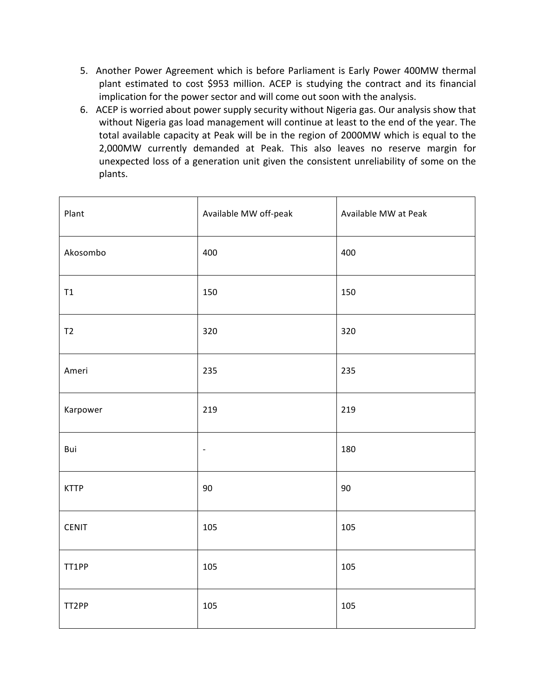- 5. Another Power Agreement which is before Parliament is Early Power 400MW thermal plant estimated to cost \$953 million. ACEP is studying the contract and its financial implication for the power sector and will come out soon with the analysis.
- 6. ACEP is worried about power supply security without Nigeria gas. Our analysis show that without Nigeria gas load management will continue at least to the end of the year. The total available capacity at Peak will be in the region of 2000MW which is equal to the 2,000MW currently demanded at Peak. This also leaves no reserve margin for unexpected loss of a generation unit given the consistent unreliability of some on the plants.

| Plant         | Available MW off-peak        | Available MW at Peak |
|---------------|------------------------------|----------------------|
| Akosombo      | 400                          | 400                  |
| $\mathsf{T1}$ | 150                          | 150                  |
| T2            | 320                          | 320                  |
| Ameri         | 235                          | 235                  |
| Karpower      | 219                          | 219                  |
| Bui           | $\qquad \qquad \blacksquare$ | 180                  |
| <b>KTTP</b>   | 90                           | 90                   |
| <b>CENIT</b>  | 105                          | 105                  |
| TT1PP         | 105                          | 105                  |
| TT2PP         | 105                          | 105                  |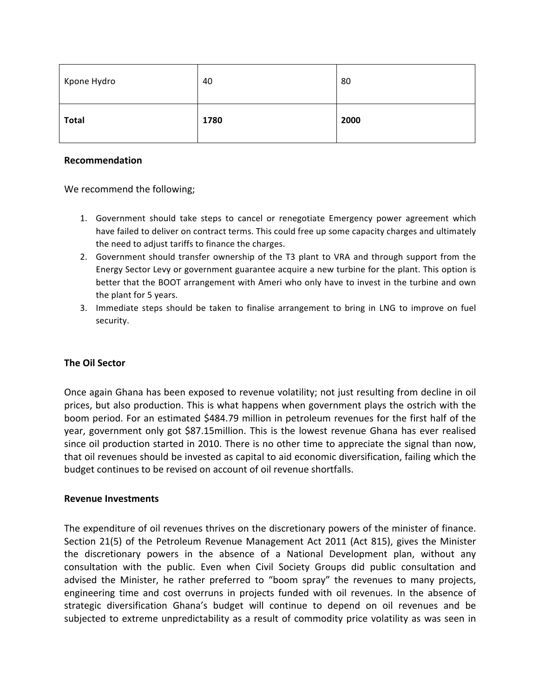| Kpone Hydro  | 40   | 80   |
|--------------|------|------|
| <b>Total</b> | 1780 | 2000 |

#### **Recommendation**

We recommend the following;

- 1. Government should take steps to cancel or renegotiate Emergency power agreement which have failed to deliver on contract terms. This could free up some capacity charges and ultimately the need to adjust tariffs to finance the charges.
- 2. Government should transfer ownership of the T3 plant to VRA and through support from the Energy Sector Levy or government guarantee acquire a new turbine for the plant. This option is better that the BOOT arrangement with Ameri who only have to invest in the turbine and own the plant for 5 years.
- 3. Immediate steps should be taken to finalise arrangement to bring in LNG to improve on fuel security.

#### **The Oil Sector**

Once again Ghana has been exposed to revenue volatility; not just resulting from decline in oil prices, but also production. This is what happens when government plays the ostrich with the boom period. For an estimated \$484.79 million in petroleum revenues for the first half of the year, government only got \$87.15million. This is the lowest revenue Ghana has ever realised since oil production started in 2010. There is no other time to appreciate the signal than now, that oil revenues should be invested as capital to aid economic diversification, failing which the budget continues to be revised on account of oil revenue shortfalls.

#### **Revenue Investments**

The expenditure of oil revenues thrives on the discretionary powers of the minister of finance. Section 21(5) of the Petroleum Revenue Management Act 2011 (Act 815), gives the Minister the discretionary powers in the absence of a National Development plan, without any consultation with the public. Even when Civil Society Groups did public consultation and advised the Minister, he rather preferred to "boom spray" the revenues to many projects, engineering time and cost overruns in projects funded with oil revenues. In the absence of strategic diversification Ghana's budget will continue to depend on oil revenues and be subjected to extreme unpredictability as a result of commodity price volatility as was seen in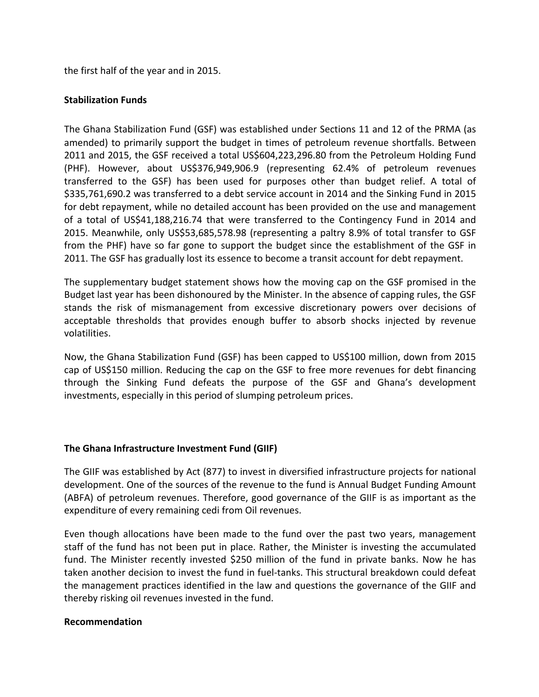the first half of the year and in 2015.

## **Stabilization Funds**

The Ghana Stabilization Fund (GSF) was established under Sections 11 and 12 of the PRMA (as amended) to primarily support the budget in times of petroleum revenue shortfalls. Between 2011 and 2015, the GSF received a total US\$604,223,296.80 from the Petroleum Holding Fund (PHF). However, about US\$376,949,906.9 (representing 62.4% of petroleum revenues transferred to the GSF) has been used for purposes other than budget relief. A total of \$335,761,690.2 was transferred to a debt service account in 2014 and the Sinking Fund in 2015 for debt repayment, while no detailed account has been provided on the use and management of a total of US\$41,188,216.74 that were transferred to the Contingency Fund in 2014 and 2015. Meanwhile, only US\$53,685,578.98 (representing a paltry 8.9% of total transfer to GSF from the PHF) have so far gone to support the budget since the establishment of the GSF in 2011. The GSF has gradually lost its essence to become a transit account for debt repayment.

The supplementary budget statement shows how the moving cap on the GSF promised in the Budget last year has been dishonoured by the Minister. In the absence of capping rules, the GSF stands the risk of mismanagement from excessive discretionary powers over decisions of acceptable thresholds that provides enough buffer to absorb shocks injected by revenue volatilities. 

Now, the Ghana Stabilization Fund (GSF) has been capped to US\$100 million, down from 2015 cap of US\$150 million. Reducing the cap on the GSF to free more revenues for debt financing through the Sinking Fund defeats the purpose of the GSF and Ghana's development investments, especially in this period of slumping petroleum prices.

# **The Ghana Infrastructure Investment Fund (GIIF)**

The GIIF was established by Act (877) to invest in diversified infrastructure projects for national development. One of the sources of the revenue to the fund is Annual Budget Funding Amount (ABFA) of petroleum revenues. Therefore, good governance of the GIIF is as important as the expenditure of every remaining cedi from Oil revenues.

Even though allocations have been made to the fund over the past two years, management staff of the fund has not been put in place. Rather, the Minister is investing the accumulated fund. The Minister recently invested \$250 million of the fund in private banks. Now he has taken another decision to invest the fund in fuel-tanks. This structural breakdown could defeat the management practices identified in the law and questions the governance of the GIIF and thereby risking oil revenues invested in the fund.

#### **Recommendation**